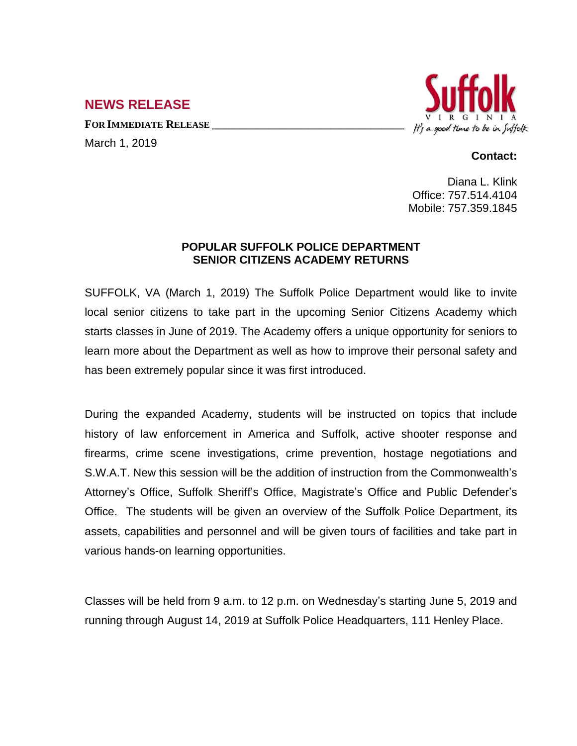## **NEWS RELEASE**

**FOR IMMEDIATE RELEASE \_\_\_\_\_\_\_\_\_\_\_\_\_\_\_\_\_\_\_\_\_\_\_\_\_\_\_\_\_\_\_\_\_\_**

March 1, 2019



## **Contact:**

Diana L. Klink Office: 757.514.4104 Mobile: 757.359.1845

## **POPULAR SUFFOLK POLICE DEPARTMENT SENIOR CITIZENS ACADEMY RETURNS**

SUFFOLK, VA (March 1, 2019) The Suffolk Police Department would like to invite local senior citizens to take part in the upcoming Senior Citizens Academy which starts classes in June of 2019. The Academy offers a unique opportunity for seniors to learn more about the Department as well as how to improve their personal safety and has been extremely popular since it was first introduced.

During the expanded Academy, students will be instructed on topics that include history of law enforcement in America and Suffolk, active shooter response and firearms, crime scene investigations, crime prevention, hostage negotiations and S.W.A.T. New this session will be the addition of instruction from the Commonwealth's Attorney's Office, Suffolk Sheriff's Office, Magistrate's Office and Public Defender's Office. The students will be given an overview of the Suffolk Police Department, its assets, capabilities and personnel and will be given tours of facilities and take part in various hands-on learning opportunities.

Classes will be held from 9 a.m. to 12 p.m. on Wednesday's starting June 5, 2019 and running through August 14, 2019 at Suffolk Police Headquarters, 111 Henley Place.